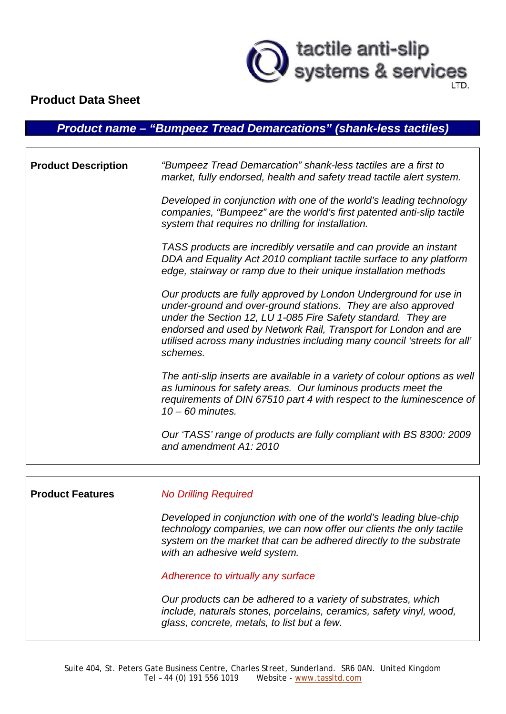

# **Product Data Sheet**

*Product name – "Bumpeez Tread Demarcations" (shank-less tactiles)*

| <b>Product Description</b> | "Bumpeez Tread Demarcation" shank-less tactiles are a first to<br>market, fully endorsed, health and safety tread tactile alert system.                                                                                                                                                                                                                       |  |  |  |
|----------------------------|---------------------------------------------------------------------------------------------------------------------------------------------------------------------------------------------------------------------------------------------------------------------------------------------------------------------------------------------------------------|--|--|--|
|                            | Developed in conjunction with one of the world's leading technology<br>companies, "Bumpeez" are the world's first patented anti-slip tactile<br>system that requires no drilling for installation.                                                                                                                                                            |  |  |  |
|                            | TASS products are incredibly versatile and can provide an instant<br>DDA and Equality Act 2010 compliant tactile surface to any platform<br>edge, stairway or ramp due to their unique installation methods                                                                                                                                                   |  |  |  |
|                            | Our products are fully approved by London Underground for use in<br>under-ground and over-ground stations. They are also approved<br>under the Section 12, LU 1-085 Fire Safety standard. They are<br>endorsed and used by Network Rail, Transport for London and are<br>utilised across many industries including many council 'streets for all'<br>schemes. |  |  |  |
|                            | The anti-slip inserts are available in a variety of colour options as well<br>as luminous for safety areas. Our luminous products meet the<br>requirements of DIN 67510 part 4 with respect to the luminescence of<br>$10 - 60$ minutes.                                                                                                                      |  |  |  |
|                            | Our 'TASS' range of products are fully compliant with BS 8300: 2009<br>and amendment A1: 2010                                                                                                                                                                                                                                                                 |  |  |  |
|                            |                                                                                                                                                                                                                                                                                                                                                               |  |  |  |

**Product Features** *No Drilling Required*

*Developed in conjunction with one of the world's leading blue-chip technology companies, we can now offer our clients the only tactile system on the market that can be adhered directly to the substrate with an adhesive weld system.*

*Adherence to virtually any surface* 

*Our products can be adhered to a variety of substrates, which include, naturals stones, porcelains, ceramics, safety vinyl, wood, glass, concrete, metals, to list but a few.*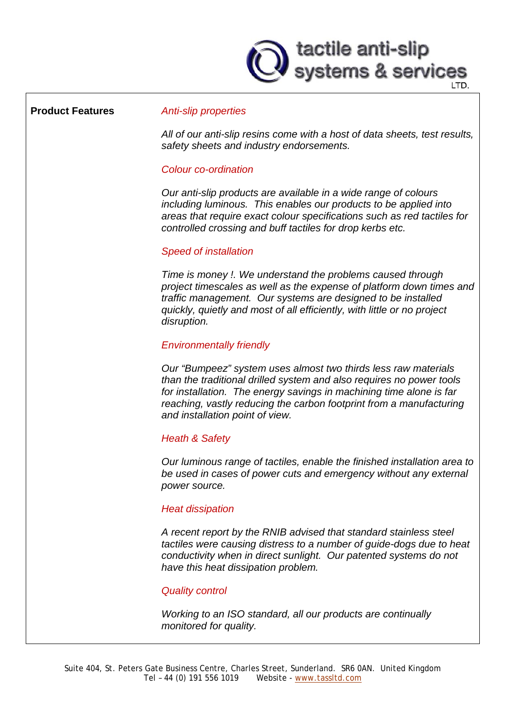tactile anti-slip systems & services

#### **Product Features** *Anti-slip properties*

*All of our anti-slip resins come with a host of data sheets, test results, safety sheets and industry endorsements.*

### *Colour co-ordination*

*Our anti-slip products are available in a wide range of colours including luminous. This enables our products to be applied into areas that require exact colour specifications such as red tactiles for controlled crossing and buff tactiles for drop kerbs etc.*

## *Speed of installation*

*Time is money !. We understand the problems caused through project timescales as well as the expense of platform down times and traffic management. Our systems are designed to be installed quickly, quietly and most of all efficiently, with little or no project disruption.*

# *Environmentally friendly*

*Our "Bumpeez" system uses almost two thirds less raw materials than the traditional drilled system and also requires no power tools for installation. The energy savings in machining time alone is far reaching, vastly reducing the carbon footprint from a manufacturing and installation point of view.*

# *Heath & Safety*

*Our luminous range of tactiles, enable the finished installation area to be used in cases of power cuts and emergency without any external power source.*

### *Heat dissipation*

*A recent report by the RNIB advised that standard stainless steel tactiles were causing distress to a number of guide-dogs due to heat conductivity when in direct sunlight. Our patented systems do not have this heat dissipation problem.*

# *Quality control*

*Working to an ISO standard, all our products are continually monitored for quality.*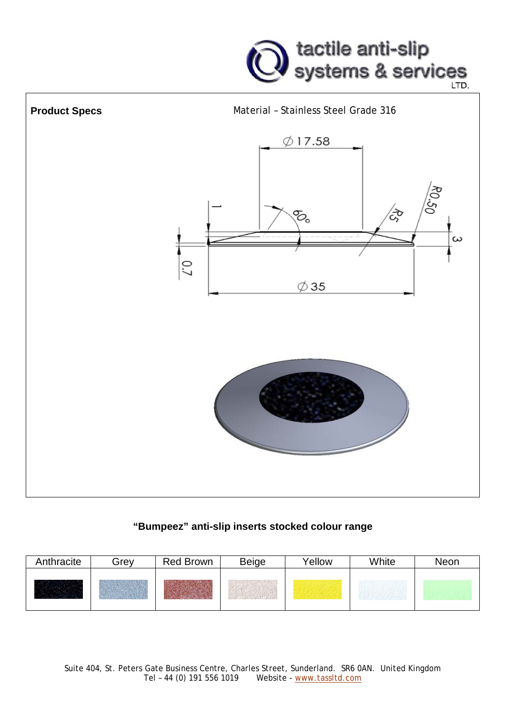



# **"Bumpeez" anti-slip inserts stocked colour range**

| Anthracite | Grey | Red Brown | <b>Beige</b> | Yellow | White | Neon |
|------------|------|-----------|--------------|--------|-------|------|
|            |      |           |              |        |       |      |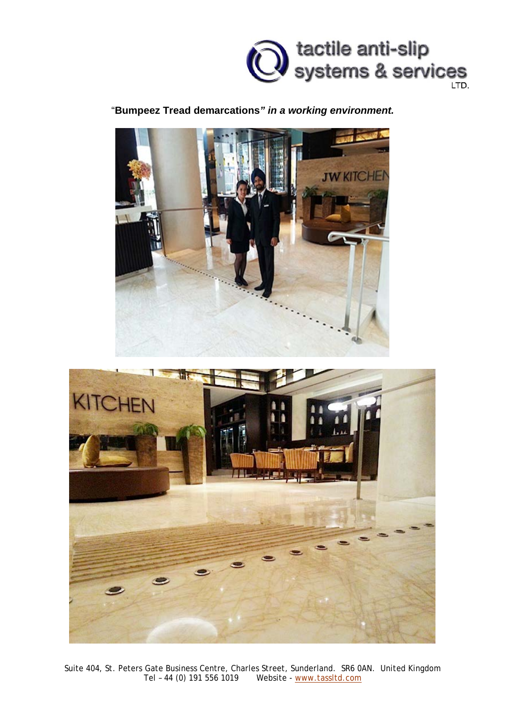

"**Bumpeez Tread demarcations***" in a working environment.*





Suite 404, St. Peters Gate Business Centre, Charles Street, Sunderland. SR6 0AN. United Kingdom Tel – 44 (0) 191 556 1019 Website - [www.tassltd.com](http://www.tassltd.com/)